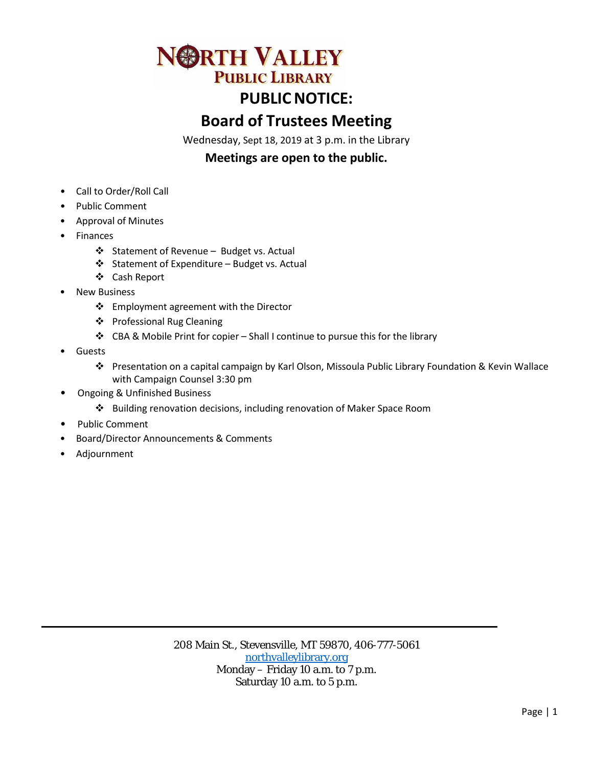# **ORTH VALLEY PUBLIC LIBRARY**

## **PUBLIC NOTICE:**

### **Board of Trustees Meeting**

Wednesday, Sept 18, 2019 at 3 p.m. in the Library

### **Meetings are open to the public.**

- Call to Order/Roll Call
- Public Comment
- Approval of Minutes
- Finances
	- ❖ Statement of Revenue Budget vs. Actual
	- $\triangleleft$  Statement of Expenditure Budget vs. Actual
	- Cash Report
- **New Business** 
	- Employment agreement with the Director
	- Professional Rug Cleaning
	- CBA & Mobile Print for copier Shall I continue to pursue this for the library
- **Guests** 
	- Presentation on a capital campaign by Karl Olson, Missoula Public Library Foundation & Kevin Wallace with Campaign Counsel 3:30 pm
- Ongoing & Unfinished Business
	- Building renovation decisions, including renovation of Maker Space Room
- Public Comment
- Board/Director Announcements & Comments
- Adjournment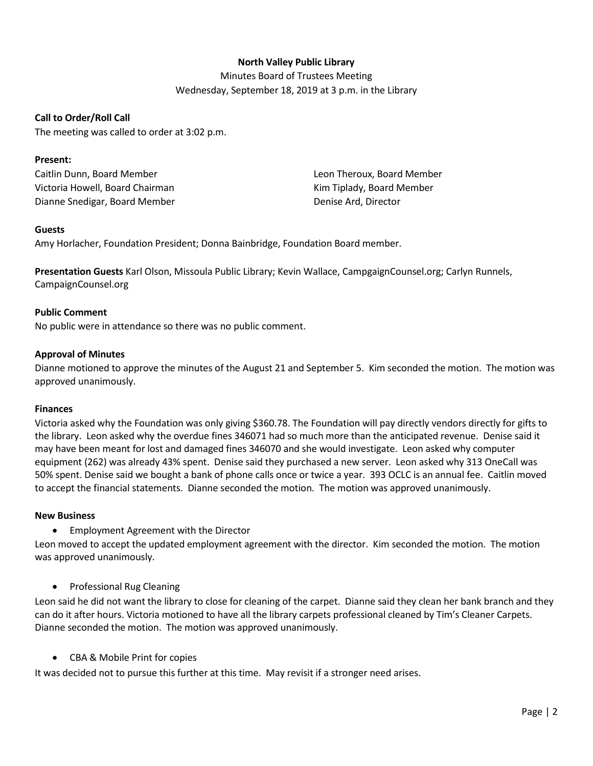#### **North Valley Public Library**

Minutes Board of Trustees Meeting Wednesday, September 18, 2019 at 3 p.m. in the Library

#### **Call to Order/Roll Call**

The meeting was called to order at 3:02 p.m.

#### **Present:**

Caitlin Dunn, Board Member Victoria Howell, Board Chairman Dianne Snedigar, Board Member Leon Theroux, Board Member Kim Tiplady, Board Member Denise Ard, Director

#### **Guests**

Amy Horlacher, Foundation President; Donna Bainbridge, Foundation Board member.

**Presentation Guests** Karl Olson, Missoula Public Library; Kevin Wallace, CampgaignCounsel.org; Carlyn Runnels, CampaignCounsel.org

#### **Public Comment**

No public were in attendance so there was no public comment.

#### **Approval of Minutes**

Dianne motioned to approve the minutes of the August 21 and September 5. Kim seconded the motion. The motion was approved unanimously.

#### **Finances**

Victoria asked why the Foundation was only giving \$360.78. The Foundation will pay directly vendors directly for gifts to the library. Leon asked why the overdue fines 346071 had so much more than the anticipated revenue. Denise said it may have been meant for lost and damaged fines 346070 and she would investigate. Leon asked why computer equipment (262) was already 43% spent. Denise said they purchased a new server. Leon asked why 313 OneCall was 50% spent. Denise said we bought a bank of phone calls once or twice a year. 393 OCLC is an annual fee. Caitlin moved to accept the financial statements. Dianne seconded the motion. The motion was approved unanimously.

#### **New Business**

• Employment Agreement with the Director

Leon moved to accept the updated employment agreement with the director. Kim seconded the motion. The motion was approved unanimously.

• Professional Rug Cleaning

Leon said he did not want the library to close for cleaning of the carpet. Dianne said they clean her bank branch and they can do it after hours. Victoria motioned to have all the library carpets professional cleaned by Tim's Cleaner Carpets. Dianne seconded the motion. The motion was approved unanimously.

• CBA & Mobile Print for copies

It was decided not to pursue this further at this time. May revisit if a stronger need arises.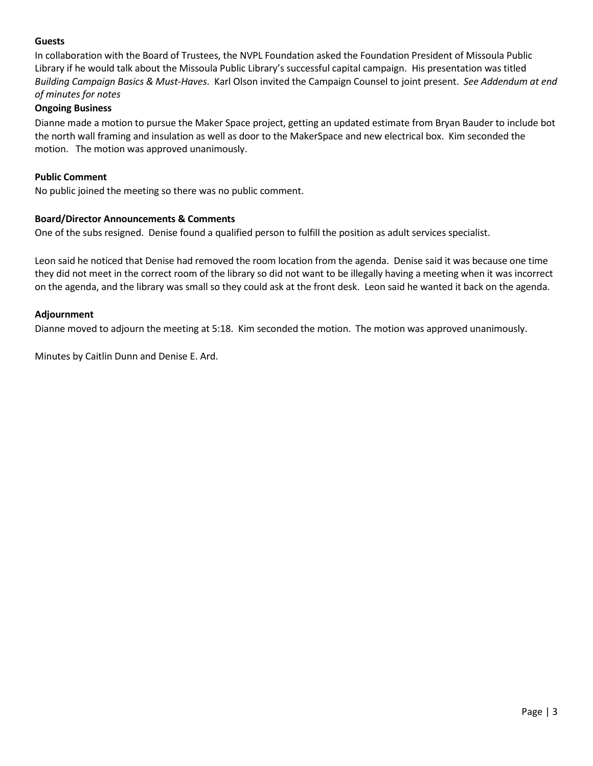#### **Guests**

In collaboration with the Board of Trustees, the NVPL Foundation asked the Foundation President of Missoula Public Library if he would talk about the Missoula Public Library's successful capital campaign. His presentation was titled *Building Campaign Basics & Must-Haves*. Karl Olson invited the Campaign Counsel to joint present. *See Addendum at end of minutes for notes* 

#### **Ongoing Business**

Dianne made a motion to pursue the Maker Space project, getting an updated estimate from Bryan Bauder to include bot the north wall framing and insulation as well as door to the MakerSpace and new electrical box. Kim seconded the motion. The motion was approved unanimously.

#### **Public Comment**

No public joined the meeting so there was no public comment.

#### **Board/Director Announcements & Comments**

One of the subs resigned. Denise found a qualified person to fulfill the position as adult services specialist.

Leon said he noticed that Denise had removed the room location from the agenda. Denise said it was because one time they did not meet in the correct room of the library so did not want to be illegally having a meeting when it was incorrect on the agenda, and the library was small so they could ask at the front desk. Leon said he wanted it back on the agenda.

#### **Adjournment**

Dianne moved to adjourn the meeting at 5:18. Kim seconded the motion. The motion was approved unanimously.

Minutes by Caitlin Dunn and Denise E. Ard.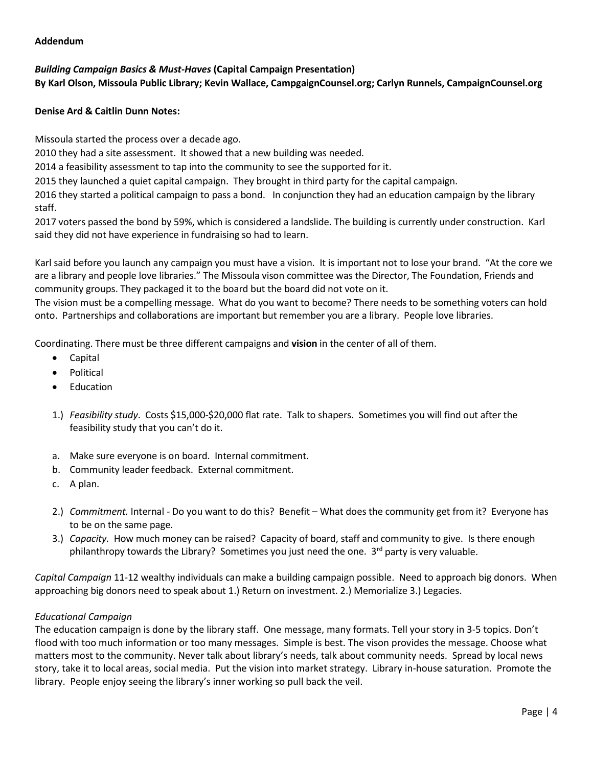#### **Addendum**

#### *Building Campaign Basics & Must-Haves* **(Capital Campaign Presentation)**

**By Karl Olson, Missoula Public Library; Kevin Wallace, CampgaignCounsel.org; Carlyn Runnels, CampaignCounsel.org**

#### **Denise Ard & Caitlin Dunn Notes:**

Missoula started the process over a decade ago.

2010 they had a site assessment. It showed that a new building was needed.

2014 a feasibility assessment to tap into the community to see the supported for it.

2015 they launched a quiet capital campaign. They brought in third party for the capital campaign.

2016 they started a political campaign to pass a bond. In conjunction they had an education campaign by the library staff.

2017 voters passed the bond by 59%, which is considered a landslide. The building is currently under construction. Karl said they did not have experience in fundraising so had to learn.

Karl said before you launch any campaign you must have a vision. It is important not to lose your brand. "At the core we are a library and people love libraries." The Missoula vison committee was the Director, The Foundation, Friends and community groups. They packaged it to the board but the board did not vote on it.

The vision must be a compelling message. What do you want to become? There needs to be something voters can hold onto. Partnerships and collaborations are important but remember you are a library. People love libraries.

Coordinating. There must be three different campaigns and **vision** in the center of all of them.

- Capital
- Political
- **Education**
- 1.) *Feasibility study*. Costs \$15,000-\$20,000 flat rate. Talk to shapers. Sometimes you will find out after the feasibility study that you can't do it.
- a. Make sure everyone is on board. Internal commitment.
- b. Community leader feedback. External commitment.
- c. A plan.
- 2.) *Commitment.* Internal Do you want to do this? Benefit What does the community get from it? Everyone has to be on the same page.
- 3.) *Capacity.* How much money can be raised? Capacity of board, staff and community to give. Is there enough philanthropy towards the Library? Sometimes you just need the one. 3<sup>rd</sup> party is very valuable.

*Capital Campaign* 11-12 wealthy individuals can make a building campaign possible. Need to approach big donors. When approaching big donors need to speak about 1.) Return on investment. 2.) Memorialize 3.) Legacies.

#### *Educational Campaign*

The education campaign is done by the library staff. One message, many formats. Tell your story in 3-5 topics. Don't flood with too much information or too many messages. Simple is best. The vison provides the message. Choose what matters most to the community. Never talk about library's needs, talk about community needs. Spread by local news story, take it to local areas, social media. Put the vision into market strategy. Library in-house saturation. Promote the library. People enjoy seeing the library's inner working so pull back the veil.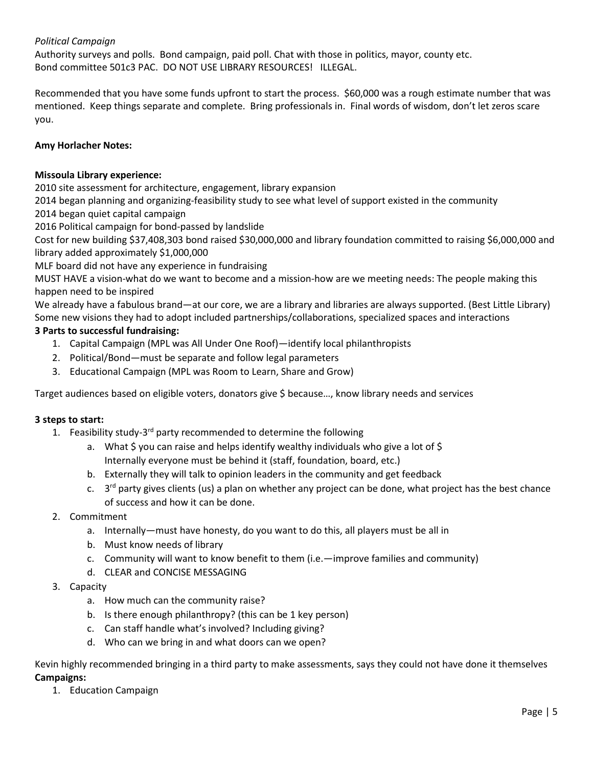#### *Political Campaign*

Authority surveys and polls. Bond campaign, paid poll. Chat with those in politics, mayor, county etc. Bond committee 501c3 PAC. DO NOT USE LIBRARY RESOURCES! ILLEGAL.

Recommended that you have some funds upfront to start the process. \$60,000 was a rough estimate number that was mentioned. Keep things separate and complete. Bring professionals in. Final words of wisdom, don't let zeros scare you.

#### **Amy Horlacher Notes:**

#### **Missoula Library experience:**

2010 site assessment for architecture, engagement, library expansion

2014 began planning and organizing-feasibility study to see what level of support existed in the community

2014 began quiet capital campaign

2016 Political campaign for bond-passed by landslide

Cost for new building \$37,408,303 bond raised \$30,000,000 and library foundation committed to raising \$6,000,000 and library added approximately \$1,000,000

MLF board did not have any experience in fundraising

MUST HAVE a vision-what do we want to become and a mission-how are we meeting needs: The people making this happen need to be inspired

We already have a fabulous brand—at our core, we are a library and libraries are always supported. (Best Little Library) Some new visions they had to adopt included partnerships/collaborations, specialized spaces and interactions

#### **3 Parts to successful fundraising:**

- 1. Capital Campaign (MPL was All Under One Roof)—identify local philanthropists
- 2. Political/Bond—must be separate and follow legal parameters
- 3. Educational Campaign (MPL was Room to Learn, Share and Grow)

Target audiences based on eligible voters, donators give \$ because…, know library needs and services

#### **3 steps to start:**

- 1. Feasibility study- $3^{rd}$  party recommended to determine the following
	- a. What  $\zeta$  you can raise and helps identify wealthy individuals who give a lot of  $\zeta$ Internally everyone must be behind it (staff, foundation, board, etc.)
	- b. Externally they will talk to opinion leaders in the community and get feedback
	- c.  $3<sup>rd</sup>$  party gives clients (us) a plan on whether any project can be done, what project has the best chance of success and how it can be done.

#### 2. Commitment

- a. Internally—must have honesty, do you want to do this, all players must be all in
- b. Must know needs of library
- c. Community will want to know benefit to them (i.e.—improve families and community)
- d. CLEAR and CONCISE MESSAGING
- 3. Capacity
	- a. How much can the community raise?
	- b. Is there enough philanthropy? (this can be 1 key person)
	- c. Can staff handle what's involved? Including giving?
	- d. Who can we bring in and what doors can we open?

Kevin highly recommended bringing in a third party to make assessments, says they could not have done it themselves **Campaigns:**

1. Education Campaign